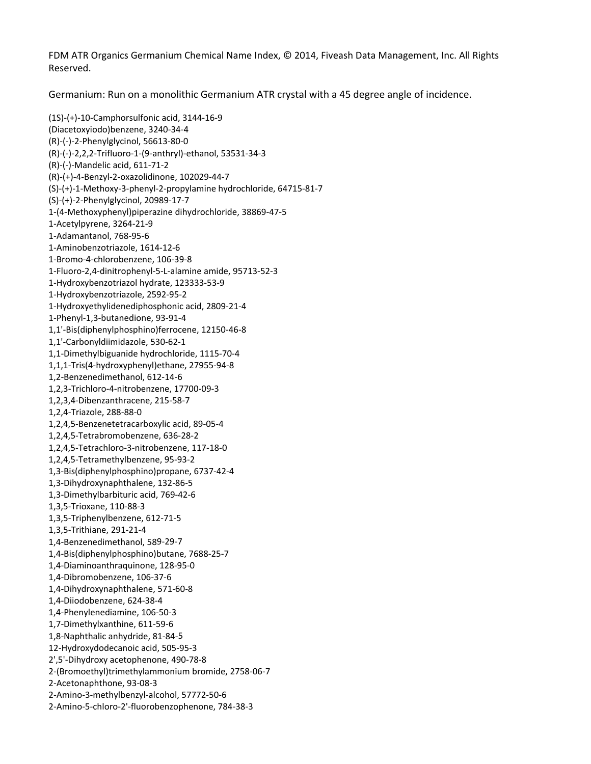FDM ATR Organics Germanium Chemical Name Index, © 2014, Fiveash Data Management, Inc. All Rights Reserved.

Germanium: Run on a monolithic Germanium ATR crystal with a 45 degree angle of incidence.

(1S)‐(+)‐10‐Camphorsulfonic acid, 3144‐16‐9 (Diacetoxyiodo)benzene, 3240‐34‐4 (R)‐(‐)‐2‐Phenylglycinol, 56613‐80‐0 (R)‐(‐)‐2,2,2‐Trifluoro‐1‐(9‐anthryl)‐ethanol, 53531‐34‐3 (R)‐(‐)‐Mandelic acid, 611‐71‐2 (R)‐(+)‐4‐Benzyl‐2‐oxazolidinone, 102029‐44‐7 (S)‐(+)‐1‐Methoxy‐3‐phenyl‐2‐propylamine hydrochloride, 64715‐81‐7 1-(4-Methoxyphenyl)piperazine dihydrochloride, 38869-47-5 ‐12‐6 1‐Aminobenzotriazole, 1614 ‐8 1‐Bromo‐4‐chlorobenzene, 106‐39 1-Fluoro-2,4-dinitrophenyl-5-L-alamine amide, 95713-52-3 1-Hydroxyethylidenediphosphonic acid, 2809-21-4 1,1'-Bis(diphenylphosphino)ferrocene, 12150-46-8 1,1-Dimethylbiguanide hydrochloride, 1115-70-4 0‐09‐3 1,2,3‐Trichloro‐4‐nitrobenzene, 1770 1,2,4,5-Benzenetetracarboxylic acid, 89-05-4 ‐18‐0 1,2,4,5‐Tetrachloro‐3‐nitrobenzene, 117 1,3-Bis(diphenylphosphino)propane, 6737-42-4 2‐71‐5 1,3,5‐Triphenylbenzene, 61 1,4-Benzenedimethanol, 589-29-7 7688‐25‐7 1,4‐Bis(diphenylphosphino)butane, ‐8 1,4‐Dihydroxynaphthalene, 571‐60 ‐3 1,4‐Phenylenediamine, 106‐50 5 1,8‐Naphthalic anhydride, 81‐84‐ ‐3 12‐Hydroxydodecanoic acid, 505‐95 8 2',5'‐Dihydroxy acetophenone, 490‐78‐ 2-(Bromoethyl)trimethylammonium bromide, 2758-06-7 2-Amino-3-methylbenzyl-alcohol, 57772-50-6 ‐38‐3 2‐Amino‐5‐chloro‐2'‐fluorobenzophenone, 784(S)‐(+)‐2‐Phenylglycinol, 20989‐17‐7 1‐Acetylpyrene, 3264‐21‐9 1‐Adamantanol, 768‐95‐6 1‐Hydroxybenzotriazol hydrate, 123333‐53‐9 1‐Hydroxybenzotriazole, 2592‐95‐2 1‐Phenyl‐1,3‐butanedione, 93‐91‐4 1,1'‐Carbonyldiimidazole, 530‐62‐1 1,1,1‐Tris(4‐hydroxyphenyl)ethane, 27955‐94‐8 1,2‐Benzenedimethanol, 612‐14‐6 1,2,3,4‐Dibenzanthracene, 215‐58‐7 1,2,4‐Triazole, 288‐88‐0 1,2,4,5‐Tetrabromobenzene, 636‐28‐2 1,2,4,5‐Tetramethylbenzene, 95‐93‐2 1,3‐Dihydroxynaphthalene, 132‐86‐5 1,3‐Dimethylbarbituric acid, 769‐42‐6 1,3,5‐Trioxane, 110‐88‐3 1,3,5‐Trithiane, 291‐21‐4 1,4‐Diaminoanthraquinone, 128‐95‐0 1,4‐Dibromobenzene, 106‐37‐6 1,4‐Diiodobenzene, 624‐38‐4 1,7‐Dimethylxanthine, 611‐59‐6 2‐Acetonaphthone, 93‐08‐3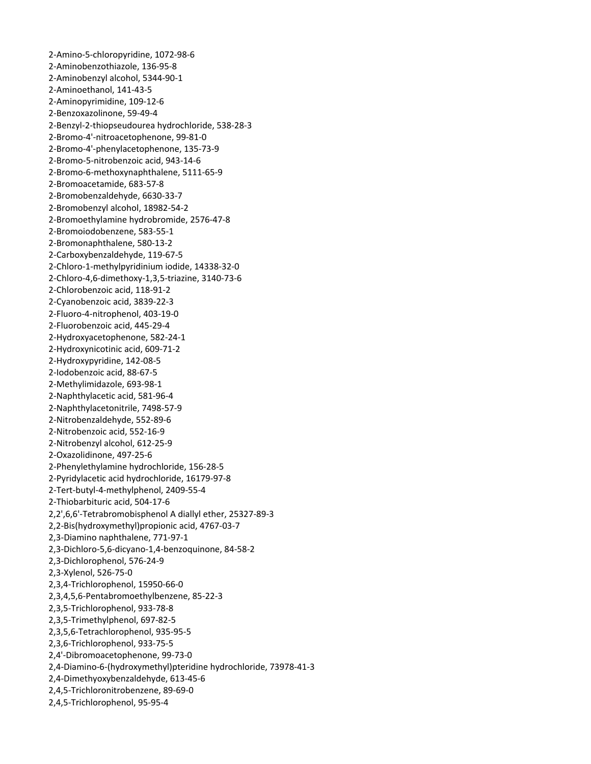‐Amino‐5‐chloropyridine, 1072‐98‐6 ‐Aminobenzothiazole, 136‐95‐8 ‐Aminobenzyl alcohol, 5344‐90‐1 ‐6 ‐Aminopyrimidine, 109‐12 2-Benzyl-2-thiopseudourea hydrochloride, 538-28-3 ‐9 ‐Bromo‐4'‐phenylacetophenone, 135‐73 2-Bromo-6-methoxynaphthalene, 5111-65-9 3‐7 ‐Bromobenzaldehyde, 6630‐3 2-Bromoethylamine hydrobromide, 2576-47-8 5 ‐Carboxybenzaldehyde, 119‐67‐ 2-Chloro-1-methylpyridinium iodide, 14338-32-0 ‐1 ‐Hydroxyacetophenone, 582‐24 4 ‐Naphthylacetic acid, 581‐96‐ 9 ‐Naphthylacetonitrile, 7498‐57‐ 2-Phenylethylamine hydrochloride, 156-28-5 2,2',6,6'-Tetrabromobisphenol A diallyl ether, 25327-89-3 2,3-Dichloro-5,6-dicyano-1,4-benzoquinone, 84-58-2 2,3,4-Trichlorophenol, 15950-66-0 , 85‐22‐3 2,3,4,5,6‐Pentabromoethylbenzene ‐5 2,3,5,6‐Tetrachlorophenol, 935‐95 3‐0 2,4'‐Dibromoacetophenone, 99‐7 2,4-Diamino-6-(hydroxymethyl)pteridine hydrochloride, 73978-41-3 ‐Aminoethanol, 141‐43‐5 ‐Benzoxazolinone, 59‐49‐4 ‐Bromo‐4'‐nitroacetophenone, 99‐81‐0 ‐Bromo‐5‐nitrobenzoic acid, 943‐14‐6 ‐Bromoacetamide, 683‐57‐8 ‐Bromobenzyl alcohol, 18982‐54‐2 ‐Bromoiodobenzene, 583‐55‐1 ‐Bromonaphthalene, 580‐13‐2 ‐Chloro‐4,6‐dimethoxy‐1,3,5‐triazine, 3140‐73‐6 ‐Chlorobenzoic acid, 118‐91‐2 ‐Cyanobenzoic acid, 3839‐22‐3 ‐Fluoro‐4‐nitrophenol, 403‐19‐0 ‐Fluorobenzoic acid, 445‐29‐4 ‐Hydroxynicotinic acid, 609‐71‐2 ‐Hydroxypyridine, 142‐08‐5 ‐Iodobenzoic acid, 88‐67‐5 ‐Methylimidazole, 693‐98‐1 ‐Nitrobenzaldehyde, 552‐89‐6 ‐Nitrobenzoic acid, 552‐16‐9 ‐Nitrobenzyl alcohol, 612‐25‐9 ‐Oxazolidinone, 497‐25‐6 ‐Pyridylacetic acid hydrochloride, 16179‐97‐8 ‐Tert‐butyl‐4‐methylphenol, 2409‐55‐4 ‐Thiobarbituric acid, 504‐17‐6 2,2‐Bis(hydroxymethyl)propionic acid, 4767‐03‐7 2,3‐Diamino naphthalene, 771‐97‐1 2,3‐Dichlorophenol, 576‐24‐9 2,3‐Xylenol, 526‐75‐0 2,3,5‐Trichlorophenol, 933‐78‐8 2,3,5‐Trimethylphenol, 697‐82‐5 2,3,6‐Trichlorophenol, 933‐75‐5 2,4‐Dimethyoxybenzaldehyde, 613‐45‐6 2,4,5‐Trichloronitrobenzene, 89‐69‐0 2,4,5‐Trichlorophenol, 95‐95‐4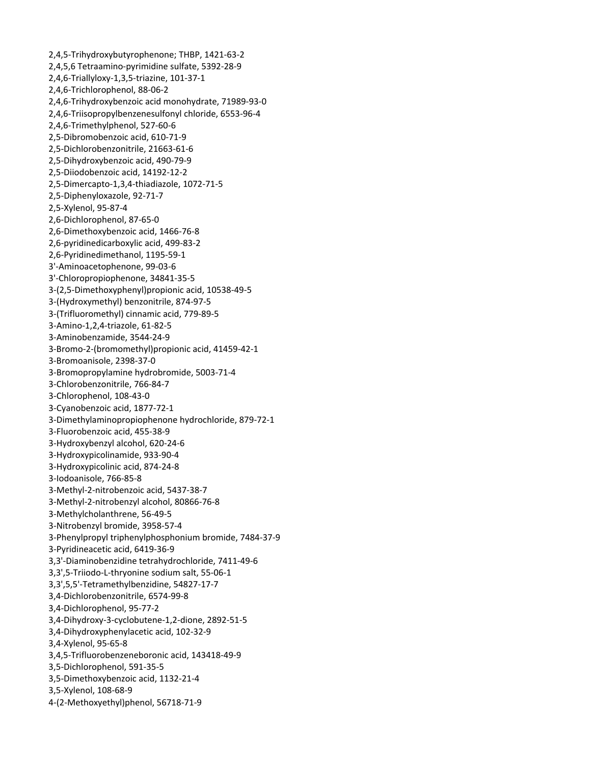2,4,5-Trihydroxybutyrophenone; THBP, 1421-63-2 2,4,5,6 Tetraamino-pyrimidine sulfate, 5392-28-9 2,4,6-Triallyloxy-1,3,5-triazine, 101-37-1 2,4,6-Trichlorophenol, 88-06-2 2,4,6-Trihydroxybenzoic acid monohydrate, 71989-93-0 2,4,6-Triisopropylbenzenesulfonyl chloride, 6553-96-4 2,4,6-Trimethylphenol, 527-60-6 2,5-Dibromobenzoic acid, 610-71-9 2,5-Dichlorobenzonitrile, 21663-61-6 2,5-Dihydroxybenzoic acid, 490-79-9 2,5-Diiodobenzoic acid, 14192-12-2 2,5-Dimercapto-1,3,4-thiadiazole, 1072-71-5 2,5-Diphenyloxazole, 92-71-7 2,5-Xylenol, 95-87-4 2,6-Dichlorophenol, 87-65-0 2,6-Dimethoxybenzoic acid, 1466-76-8 2,6-pyridinedicarboxylic acid, 499-83-2 2,6-Pyridinedimethanol, 1195-59-1 3'-Aminoacetophenone, 99-03-6 3'-Chloropropiophenone, 34841-35-5 3-(2,5-Dimethoxyphenyl)propionic acid, 10538-49-5 3-(Hydroxymethyl) benzonitrile, 874-97-5 3-(Trifluoromethyl) cinnamic acid, 779-89-5 3-Amino-1,2,4-triazole, 61-82-5 3-Aminobenzamide, 3544-24-9 3-Bromo-2-(bromomethyl)propionic acid, 41459-42-1 3-Bromoanisole, 2398-37-0 3-Bromopropylamine hydrobromide, 5003-71-4 3-Chlorobenzonitrile, 766-84-7 3-Chlorophenol, 108-43-0 3-Cyanobenzoic acid, 1877-72-1 3-Dimethylaminopropiophenone hydrochloride, 879-72-1 3-Fluorobenzoic acid, 455-38-9 3-Hydroxybenzyl alcohol, 620-24-6 3-Hydroxypicolinamide, 933-90-4 3-Hydroxypicolinic acid, 874-24-8 3-Iodoanisole, 766-85-8 3-Methyl-2-nitrobenzoic acid, 5437-38-7 3-Methyl-2-nitrobenzyl alcohol, 80866-76-8 3-Methylcholanthrene, 56-49-5 3-Nitrobenzyl bromide, 3958-57-4 3-Phenylpropyl triphenylphosphonium bromide, 7484-37-9 3-Pyridineacetic acid, 6419-36-9 3,3'-Diaminobenzidine tetrahydrochloride, 7411-49-6 3,3',5-Triiodo-L-thryonine sodium salt, 55-06-1 3,3',5,5'-Tetramethylbenzidine, 54827-17-7 3,4-Dichlorobenzonitrile, 6574-99-8 3,4-Dichlorophenol, 95-77-2 3,4-Dihydroxy-3-cyclobutene-1,2-dione, 2892-51-5 3,4-Dihydroxyphenylacetic acid, 102-32-9 3,4-Xylenol, 95-65-8 3,4,5-Trifluorobenzeneboronic acid, 143418-49-9 3,5-Dichlorophenol, 591-35-5 3,5-Dimethoxybenzoic acid, 1132-21-4 3,5-Xylenol, 108-68-9 4-(2-Methoxyethyl)phenol, 56718-71-9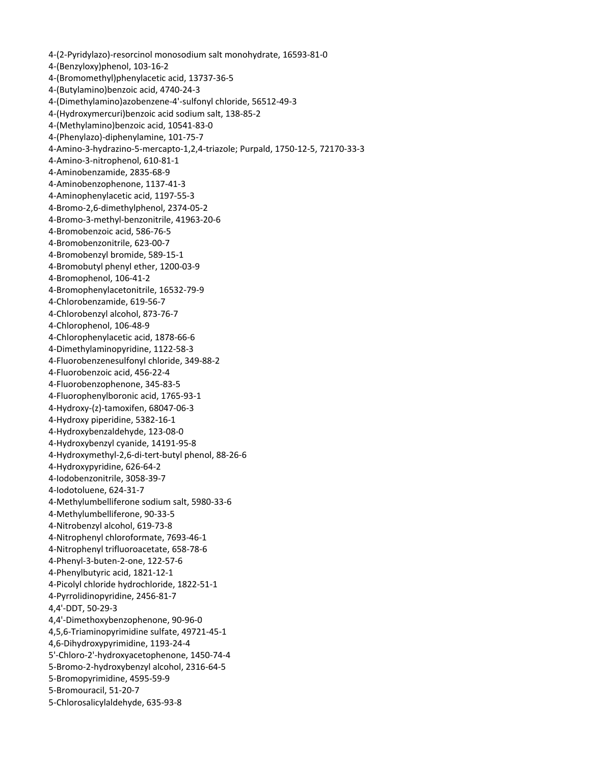‐(2‐Pyridylazo)‐resorcinol monosodium salt monohydrate, 16593‐81‐0 4-(Bromomethyl)phenylacetic acid, 13737-36-5 4-(Dimethylamino)azobenzene-4'-sulfonyl chloride, 56512-49-3 4-Amino-3-hydrazino-5-mercapto-1,2,4-triazole; Purpald, 1750-12-5, 72170-33-3 ‐3 ‐Aminobenzophenone, 1137‐41 3 ‐Aminophenylacetic acid, 1197‐55‐ ‐2 ‐Bromo‐2,6‐dimethylphenol, 2374‐05 ‐6 ‐Bromo‐3‐methyl‐benzonitrile, 41963‐20 ‐1 ‐Bromobenzyl bromide, 589‐15 ‐9 ‐Bromobutyl phenyl ether, 1200‐03 4-Bromophenylacetonitrile, 16532-79-9 ‐7 ‐Chlorobenzyl alcohol, 873‐76 4-Chlorophenylacetic acid, 1878-66-6 ‐88‐2 ‐Fluorobenzenesulfonyl chloride, 349 5 ‐Fluorobenzophenone, 345‐83‐ ‐1 ‐Fluorophenylboronic acid, 1765‐93 ‐8 ‐Hydroxybenzyl cyanide, 14191‐95 4-Hydroxymethyl-2,6-di-tert-butyl phenol, 88-26-6 4-Methylumbelliferone sodium salt, 5980-33-6 4-Nitrophenyl chloroformate, 7693-46-1 4-Picolyl chloride hydrochloride, 1822-51-1 4,4'-Dimethoxybenzophenone, 90-96-0 4,5,6-Triaminopyrimidine sulfate, 49721-45-1 5'-Chloro-2'-hydroxyacetophenone, 1450-74-4 5-Chlorosalicylaldehyde, 635-93-8 ‐(Benzyloxy)phenol, 103‐16‐2 ‐(Butylamino)benzoic acid, 4740‐24‐3 ‐(Hydroxymercuri)benzoic acid sodium salt, 138‐85‐2 ‐(Methylamino)benzoic acid, 10541‐83‐0 ‐(Phenylazo)‐diphenylamine, 101‐75‐7 ‐Amino‐3‐nitrophenol, 610‐81‐1 ‐Aminobenzamide, 2835‐68‐9 ‐Bromobenzoic acid, 586‐76‐5 ‐Bromobenzonitrile, 623‐00‐7 ‐Bromophenol, 106‐41‐2 ‐Chlorobenzamide, 619‐56‐7 ‐Chlorophenol, 106‐48‐9 ‐Dimethylaminopyridine, 1122‐58‐3 ‐Fluorobenzoic acid, 456‐22‐4 ‐Hydroxy‐(z)‐tamoxifen, 68047‐06‐3 ‐Hydroxy piperidine, 5382‐16‐1 ‐Hydroxybenzaldehyde, 123‐08‐0 ‐Hydroxypyridine, 626‐64‐2 ‐Iodobenzonitrile, 3058‐39‐7 ‐Iodotoluene, 624‐31‐7 ‐Methylumbelliferone, 90‐33‐5 ‐Nitrobenzyl alcohol, 619‐73‐8 ‐Nitrophenyl trifluoroacetate, 658‐78‐6 ‐Phenyl‐3‐buten‐2‐one, 122‐57‐6 ‐Phenylbutyric acid, 1821‐12‐1 ‐Pyrrolidinopyridine, 2456‐81‐7 4,4'‐DDT, 50‐29‐3 4,6‐Dihydroxypyrimidine, 1193‐24‐4 ‐Bromo‐2‐hydroxybenzyl alcohol, 2316‐64‐5 ‐Bromopyrimidine, 4595‐59‐9 ‐Bromouracil, 51‐20‐7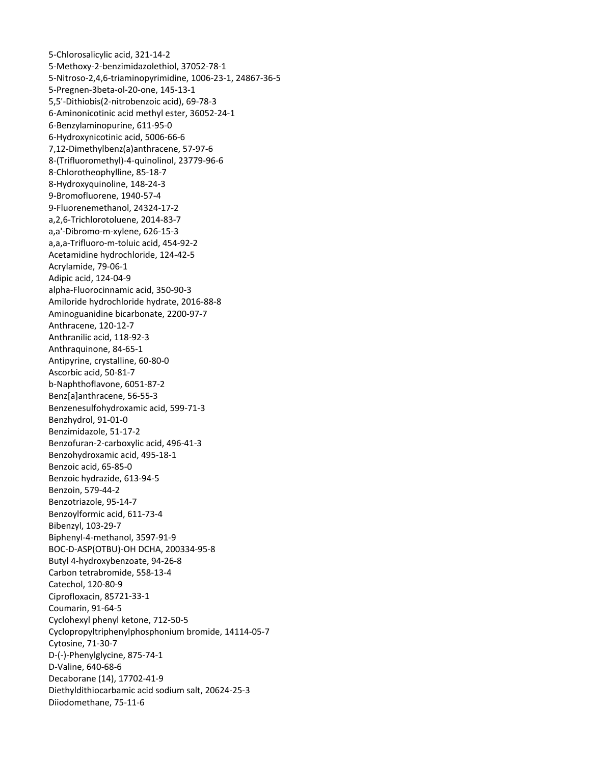5‐Chlorosalicylic acid, 321‐14‐2 5‐Methoxy‐2‐benzimidazolethiol, 37052‐78‐1 5-Nitroso-2,4,6-triaminopyrimidine, 1006-23-1, 24867-36-5 5,5'-Dithiobis(2-nitrobenzoic acid), 69-78-3 ‐1 6‐Aminonicotinic acid methyl ester, 36052‐24 ‐6 6‐Hydroxynicotinic acid, 5006‐66 ‐97‐6 7,12‐Dimethylbenz(a)anthracene, 57 6 8‐(Trifluoromethyl)‐4‐quinolinol, 23779‐96‐ 9-Fluorenemethanol, 24324-17-2 ‐2 a,a,a‐Trifluoro‐m‐toluic acid, 454‐92 alpha-Fluorocinnamic acid, 350-90-3 6‐88‐8 Amiloride hydrochloride hydrate, 201 ‐3 Anthranilic acid, 118‐92 Antipyrine, crystalline, 60-80-0 b-Naphthoflavone, 6051-87-2 Benzenesulfohydroxamic acid, 599-71-3 ‐2 Benzimidazole, 51‐17 Benzofuran-2-carboxylic acid, 496-41-3 Benzoic hydrazide, 613-94-5 4‐7 Benzotriazole, 95‐1 Benzoylformic acid, 611-73-4 Biphenyl-4-methanol, 3597-91-9 334‐95‐8 BOC‐D‐ASP(OTBU)‐OH DCHA, 200 Ciprofloxacin, 85721-33-1 Cyclohexyl phenyl ketone, 712-50-5 Cyclopropyltriphenylphosphonium bromide, 14114-05-7 D-(-)-Phenylglycine, 875-74-1 ecaborane (14), 17702‐41‐9 D Diethyldithiocarbamic acid sodium salt, 20624-25-3 5‐Pregnen‐3beta‐ol‐20‐one, 145‐13‐1 6‐Benzylaminopurine, 611‐95‐0 8‐Chlorotheophylline, 85‐18‐7 8‐Hydroxyquinoline, 148‐24‐3 9‐Bromofluorene, 1940‐57‐4 a,2,6‐Trichlorotoluene, 2014‐83‐7 a,a'‐Dibromo‐m‐xylene, 626‐15‐3 Acetamidine hydrochloride, 124‐42‐5 Acrylamide, 79‐06‐1 Adipic acid, 124‐04‐9 Aminoguanidine bicarbonate, 2200‐97‐7 Anthracene, 120‐12‐7 Anthraquinone, 84‐65‐1 Ascorbic acid, 50‐81‐7 Benz[a]anthracene, 56‐55‐3 Benzhydrol, 91‐01‐0 Benzohydroxamic acid, 495‐18‐1 Benzoic acid, 65‐85‐0 Benzoin, 579‐44‐2 Bibenzyl, 103‐29‐7 Butyl 4‐hydroxybenzoate, 94‐26‐8 Carbon tetrabromide, 558‐13‐4 Catechol, 120‐80‐9 Coumarin, 91‐64‐5 Cytosine, 71‐30‐7 D‐Valine, 640‐68‐6 Diiodomethane, 75‐11‐6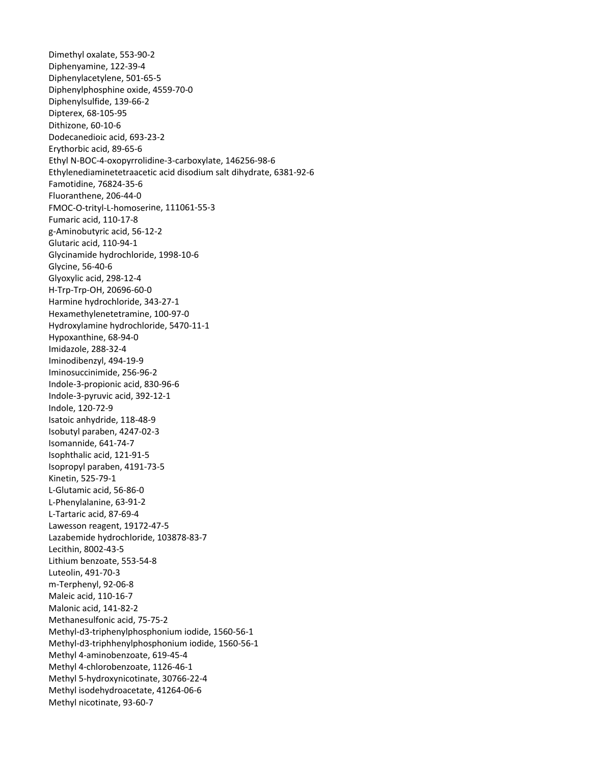Dimethyl oxalate, 553‐90‐2 Diphenyamine, 122‐39‐4 Diphenylacetylene, 501‐65‐5 Diphenylphosphine oxide, 4559-70-0 Dodecanedioic acid, 693-23-2 65‐6 Erythorbic acid, 89‐ Ethyl N-BOC-4-oxopyrrolidine-3-carboxylate, 146256-98-6 Ethylenediaminetetraacetic acid disodium salt dihydrate, 6381-92-6 FMOC-O-trityl-L-homoserine, 111061-55-3 Glycinamide hydrochloride, 1998-10-6 H-Trp-Trp-OH, 20696-60-0 Harmine hydrochloride, 343-27-1 Hexamethylenetetramine, 100-97-0 Hydroxylamine hydrochloride, 5470-11-1 Iminosuccinimide, 256-96-2 Indole-3-propionic acid, 830-96-6 ‐1 Indole‐3‐pyruvic acid, 392‐12 4247‐02‐3 Isobutyl paraben, Isopropyl paraben, 4191-73-5 L-Phenylalanine, 63-91-2 Lawesson reagent, 19172-47-5 Lazabemide hydrochloride, 103878-83-7 ‐7 Maleic acid, 110‐16 Methanesulfonic acid, 75-75-2 Methyl-d3-triphenylphosphonium iodide, 1560-56-1 Methyl-d3-triphhenylphosphonium iodide, 1560-56-1 ‐4 Methyl 5‐hydroxynicotinate, 30766‐22 Diphenylsulfide, 139‐66‐2 Dipterex, 68‐105‐95 Dithizone, 60‐10‐6 Famotidine, 76824‐35‐6 Fluoranthene, 206‐44‐0 Fumaric acid, 110‐17‐8 g‐Aminobutyric acid, 56‐12‐2 Glutaric acid, 110‐94‐1 Glycine, 56‐40‐6 Glyoxylic acid, 298‐12‐4 Hypoxanthine, 68‐94‐0 Imidazole, 288‐32‐4 Iminodibenzyl, 494‐19‐9 Indole, 120‐72‐9 Isatoic anhydride, 118‐48‐9 Isomannide, 641‐74‐7 Isophthalic acid, 121‐91‐5 Kinetin, 525‐79‐1 L‐Glutamic acid, 56‐86‐0 L‐Tartaric acid, 87‐69‐4 Lecithin, 8002‐43‐5 Lithium benzoate, 553‐54‐8 Luteolin, 491‐70‐3 m‐Terphenyl, 92‐06‐8 Malonic acid, 141‐82‐2 Methyl 4‐aminobenzoate, 619‐45‐4 Methyl 4‐chlorobenzoate, 1126‐46‐1 Methyl isodehydroacetate, 41264‐06‐6 Methyl nicotinate, 93‐60‐7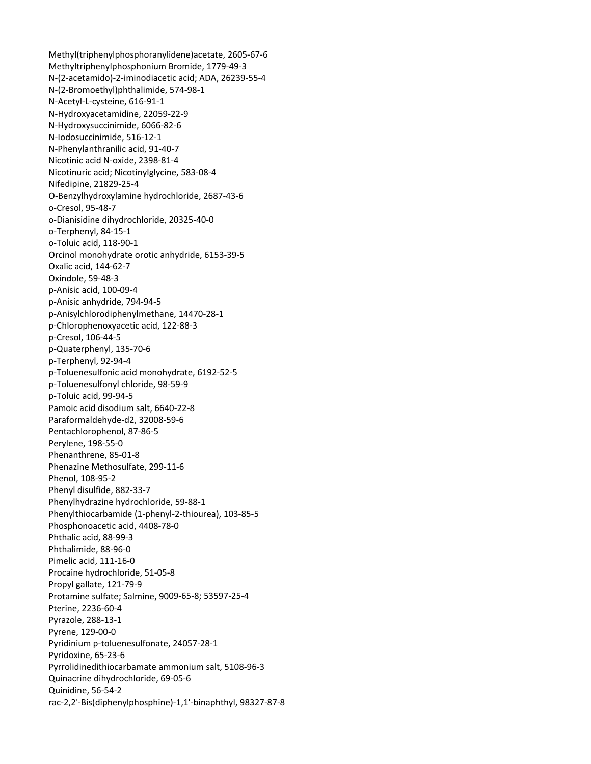Methyl(triphenylphosphoranylidene)acetate, 2605-67-6 Methyltriphenylphosphonium Bromide, 1779-49-3 N-(2-acetamido)-2-iminodiacetic acid; ADA, 26239-55-4 N-(2-Bromoethyl)phthalimide, 574-98-1 N-Acetyl-L-cysteine, 616-91-1 N-Hydroxyacetamidine, 22059-22-9 N-Hydroxysuccinimide, 6066-82-6 N-lodosuccinimide, 516-12-1 N-Phenylanthranilic acid, 91-40-7 Nicotinic acid N-oxide, 2398-81-4 Nicotinuric acid; Nicotinylglycine, 583-08-4 Nifedipine, 21829-25-4 O-Benzylhydroxylamine hydrochloride, 2687-43-6 o-Cresol, 95-48-7 o-Dianisidine dihydrochloride, 20325-40-0 o-Terphenyl, 84-15-1 o-Toluic acid, 118-90-1 Orcinol monohydrate orotic anhydride, 6153-39-5 Oxalic acid, 144-62-7 Oxindole, 59-48-3 p-Anisic acid, 100-09-4 p-Anisic anhydride, 794-94-5 p-Anisylchlorodiphenylmethane, 14470-28-1 p-Chlorophenoxyacetic acid, 122-88-3 p-Cresol, 106-44-5 p-Quaterphenyl, 135-70-6 p-Terphenyl, 92-94-4 p-Toluenesulfonic acid monohydrate, 6192-52-5 p-Toluenesulfonyl chloride, 98-59-9 p-Toluic acid, 99-94-5 Pamoic acid disodium salt, 6640-22-8 Paraformaldehyde-d2, 32008-59-6 Pentachlorophenol, 87-86-5 Perylene, 198-55-0 Phenanthrene, 85-01-8 Phenazine Methosulfate, 299-11-6 Phenol, 108-95-2 Phenyl disulfide, 882-33-7 Phenylhydrazine hydrochloride, 59-88-1 Phenylthiocarbamide (1-phenyl-2-thiourea), 103-85-5 Phosphonoacetic acid, 4408-78-0 Phthalic acid, 88-99-3 Phthalimide, 88-96-0 Pimelic acid, 111-16-0 Procaine hydrochloride, 51-05-8 Propyl gallate, 121-79-9 Protamine sulfate; Salmine, 9009-65-8; 53597-25-4 Pterine, 2236-60-4 Pyrazole, 288-13-1 Pyrene, 129-00-0 Pyridinium p-toluenesulfonate, 24057-28-1 Pyridoxine, 65-23-6 Pyrrolidinedithiocarbamate ammonium salt, 5108-96-3 Quinacrine dihydrochloride, 69-05-6 Quinidine, 56-54-2 rac-2,2'-Bis(diphenylphosphine)-1,1'-binaphthyl, 98327-87-8